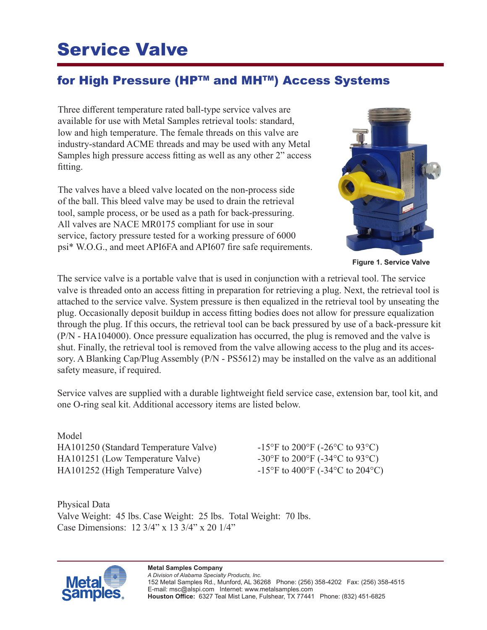## Service Valve

## for High Pressure (HP™ and MH™) Access Systems

Three different temperature rated ball-type service valves are available for use with Metal Samples retrieval tools: standard, low and high temperature. The female threads on this valve are industry-standard ACME threads and may be used with any Metal Samples high pressure access fitting as well as any other 2" access fitting.

The valves have a bleed valve located on the non-process side of the ball. This bleed valve may be used to drain the retrieval tool, sample process, or be used as a path for back-pressuring. All valves are NACE MR0175 compliant for use in sour service, factory pressure tested for a working pressure of 6000 psi\* W.O.G., and meet API6FA and API607 fire safe requirements.



**Figure 1. Service Valve**

The service valve is a portable valve that is used in conjunction with a retrieval tool. The service valve is threaded onto an access fitting in preparation for retrieving a plug. Next, the retrieval tool is attached to the service valve. System pressure is then equalized in the retrieval tool by unseating the plug. Occasionally deposit buildup in access fitting bodies does not allow for pressure equalization through the plug. If this occurs, the retrieval tool can be back pressured by use of a back-pressure kit (P/N - HA104000). Once pressure equalization has occurred, the plug is removed and the valve is shut. Finally, the retrieval tool is removed from the valve allowing access to the plug and its accessory. A Blanking Cap/Plug Assembly (P/N - PS5612) may be installed on the valve as an additional safety measure, if required.

Service valves are supplied with a durable lightweight field service case, extension bar, tool kit, and one O-ring seal kit. Additional accessory items are listed below.

Model HA101250 (Standard Temperature Valve) -15°F to 200°F (-26°C to 93°C) HA101251 (Low Temperature Valve)  $-30^{\circ}$ F to 200°F (-34°C to 93°C) HA101252 (High Temperature Valve) -15°F to 400°F (-34°C to 204°C)

Physical Data Valve Weight: 45 lbs. Case Weight: 25 lbs. Total Weight: 70 lbs. Case Dimensions: 12 3/4" x 13 3/4" x 20 1/4"